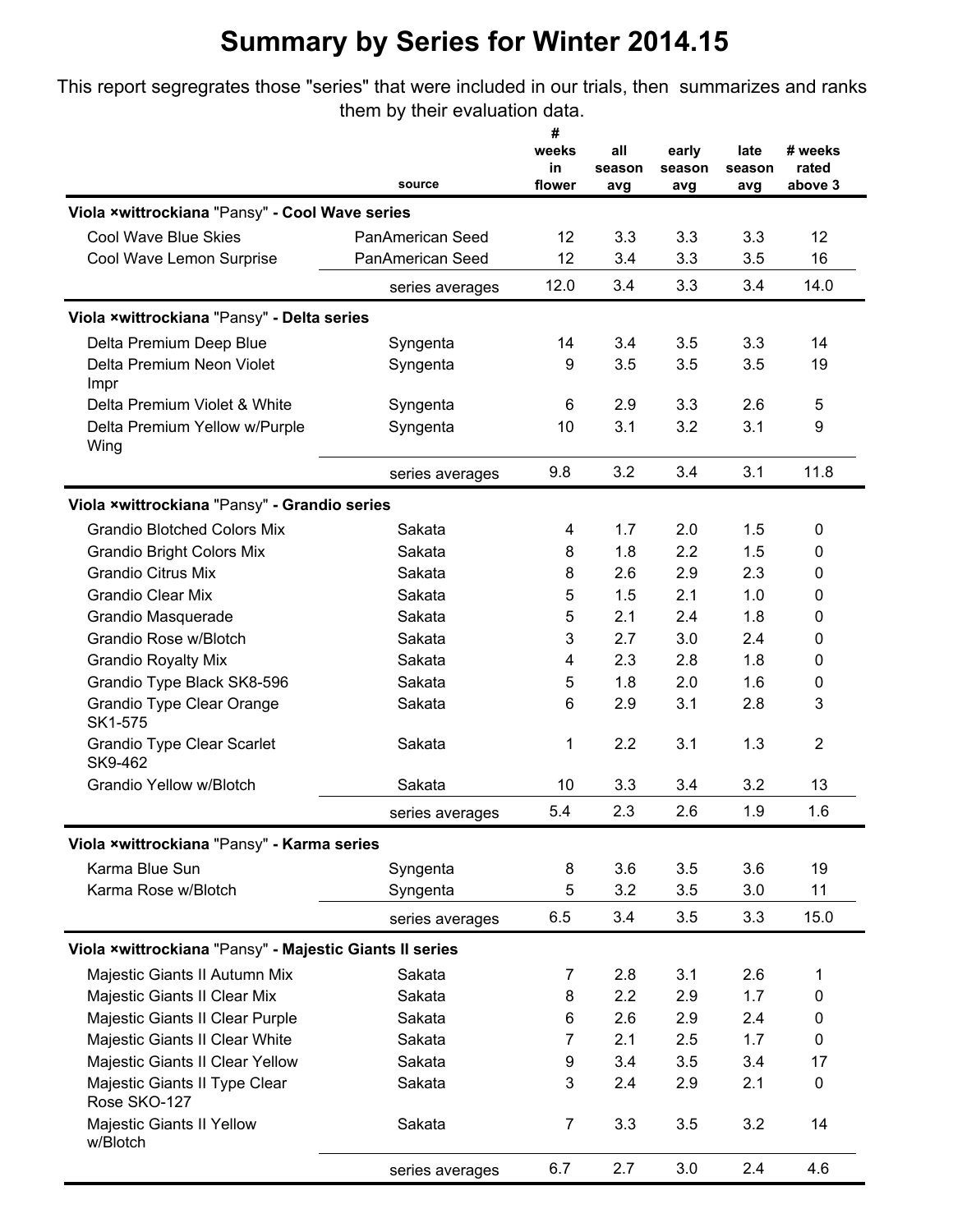## **Summary by Series for Winter 2014.15**

This report segregrates those "series" that were included in our trials, then summarizes and ranks them by their evaluation data.

|                                                         |                  | #<br>weeks   | all           | early         | late          | # weeks          |
|---------------------------------------------------------|------------------|--------------|---------------|---------------|---------------|------------------|
|                                                         | source           | in<br>flower | season<br>avg | season<br>avg | season<br>avg | rated<br>above 3 |
| Viola ×wittrockiana "Pansy" - Cool Wave series          |                  |              |               |               |               |                  |
| Cool Wave Blue Skies                                    | PanAmerican Seed | 12           | 3.3           | 3.3           | 3.3           | 12               |
| Cool Wave Lemon Surprise                                | PanAmerican Seed | 12           | 3.4           | 3.3           | 3.5           | 16               |
|                                                         | series averages  | 12.0         | 3.4           | 3.3           | 3.4           | 14.0             |
| Viola ×wittrockiana "Pansy" - Delta series              |                  |              |               |               |               |                  |
| Delta Premium Deep Blue                                 | Syngenta         | 14           | 3.4           | 3.5           | 3.3           | 14               |
| Delta Premium Neon Violet<br>Impr                       | Syngenta         | 9            | 3.5           | 3.5           | 3.5           | 19               |
| Delta Premium Violet & White                            | Syngenta         | 6            | 2.9           | 3.3           | 2.6           | 5                |
| Delta Premium Yellow w/Purple<br>Wing                   | Syngenta         | 10           | 3.1           | 3.2           | 3.1           | 9                |
|                                                         | series averages  | 9.8          | 3.2           | 3.4           | 3.1           | 11.8             |
| Viola ×wittrockiana "Pansy" - Grandio series            |                  |              |               |               |               |                  |
| <b>Grandio Blotched Colors Mix</b>                      | Sakata           | 4            | 1.7           | 2.0           | 1.5           | 0                |
| <b>Grandio Bright Colors Mix</b>                        | Sakata           | 8            | 1.8           | 2.2           | 1.5           | 0                |
| <b>Grandio Citrus Mix</b>                               | Sakata           | 8            | 2.6           | 2.9           | 2.3           | 0                |
| <b>Grandio Clear Mix</b>                                | Sakata           | 5            | 1.5           | 2.1           | 1.0           | 0                |
| Grandio Masquerade                                      | Sakata           | 5            | 2.1           | 2.4           | 1.8           | 0                |
| Grandio Rose w/Blotch                                   | Sakata           | 3            | 2.7           | 3.0           | 2.4           | 0                |
| <b>Grandio Royalty Mix</b>                              | Sakata           | 4            | 2.3           | 2.8           | 1.8           | 0                |
| Grandio Type Black SK8-596                              | Sakata           | 5            | 1.8           | 2.0           | 1.6           | 0                |
| Grandio Type Clear Orange<br>SK1-575                    | Sakata           | 6            | 2.9           | 3.1           | 2.8           | 3                |
| <b>Grandio Type Clear Scarlet</b><br>SK9-462            | Sakata           | 1            | 2.2           | 3.1           | 1.3           | $\overline{2}$   |
| <b>Grandio Yellow w/Blotch</b>                          | Sakata           | 10           | 3.3           | 3.4           | 3.2           | 13               |
|                                                         | series averages  | 5.4          | 2.3           | 2.6           | 1.9           | 1.6              |
| Viola ×wittrockiana "Pansy" - Karma series              |                  |              |               |               |               |                  |
| Karma Blue Sun                                          | Syngenta         | 8            | 3.6           | 3.5           | 3.6           | 19               |
| Karma Rose w/Blotch                                     | Syngenta         | 5            | 3.2           | 3.5           | 3.0           | 11               |
|                                                         | series averages  | 6.5          | 3.4           | 3.5           | 3.3           | 15.0             |
| Viola ×wittrockiana "Pansy" - Majestic Giants II series |                  |              |               |               |               |                  |
| Majestic Giants II Autumn Mix                           | Sakata           | 7            | 2.8           | 3.1           | 2.6           | 1                |
| Majestic Giants II Clear Mix                            | Sakata           | 8            | 2.2           | 2.9           | 1.7           | 0                |
| Majestic Giants II Clear Purple                         | Sakata           | 6            | 2.6           | 2.9           | 2.4           | 0                |
| Majestic Giants II Clear White                          | Sakata           | 7            | 2.1           | 2.5           | 1.7           | 0                |
| Majestic Giants II Clear Yellow                         | Sakata           | 9            | 3.4           | 3.5           | 3.4           | 17               |
| Majestic Giants II Type Clear<br>Rose SKO-127           | Sakata           | 3            | 2.4           | 2.9           | 2.1           | 0                |
| Majestic Giants II Yellow<br>w/Blotch                   | Sakata           | 7            | 3.3           | 3.5           | 3.2           | 14               |
|                                                         | series averages  | 6.7          | 2.7           | 3.0           | 2.4           | 4.6              |